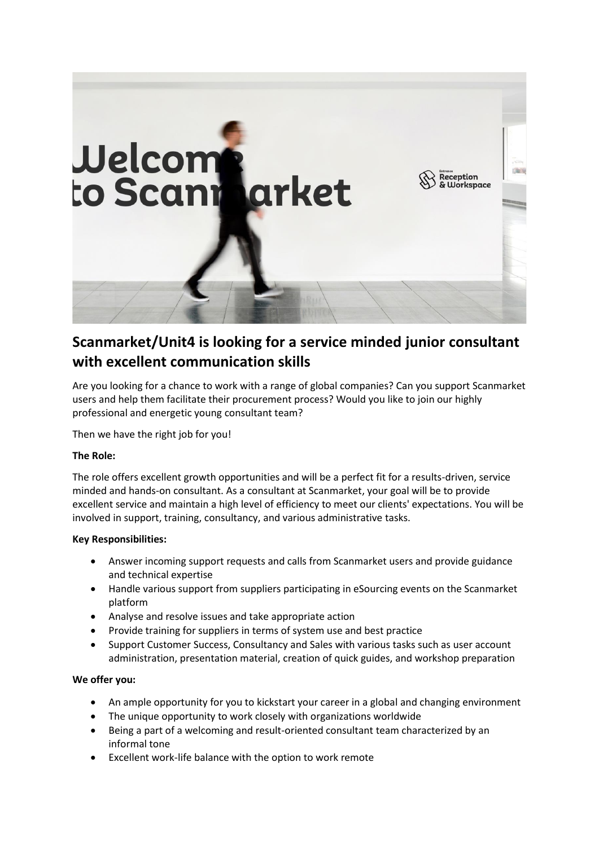

# **Scanmarket/Unit4 is looking for a service minded junior consultant with excellent communication skills**

Are you looking for a chance to work with a range of global companies? Can you support Scanmarket users and help them facilitate their procurement process? Would you like to join our highly professional and energetic young consultant team?

Then we have the right job for you!

# **The Role:**

The role offers excellent growth opportunities and will be a perfect fit for a results-driven, service minded and hands-on consultant. As a consultant at Scanmarket, your goal will be to provide excellent service and maintain a high level of efficiency to meet our clients' expectations. You will be involved in support, training, consultancy, and various administrative tasks.

## **Key Responsibilities:**

- Answer incoming support requests and calls from Scanmarket users and provide guidance and technical expertise
- Handle various support from suppliers participating in eSourcing events on the Scanmarket platform
- Analyse and resolve issues and take appropriate action
- Provide training for suppliers in terms of system use and best practice
- Support Customer Success, Consultancy and Sales with various tasks such as user account administration, presentation material, creation of quick guides, and workshop preparation

## **We offer you:**

- An ample opportunity for you to kickstart your career in a global and changing environment
- The unique opportunity to work closely with organizations worldwide
- Being a part of a welcoming and result-oriented consultant team characterized by an informal tone
- Excellent work-life balance with the option to work remote